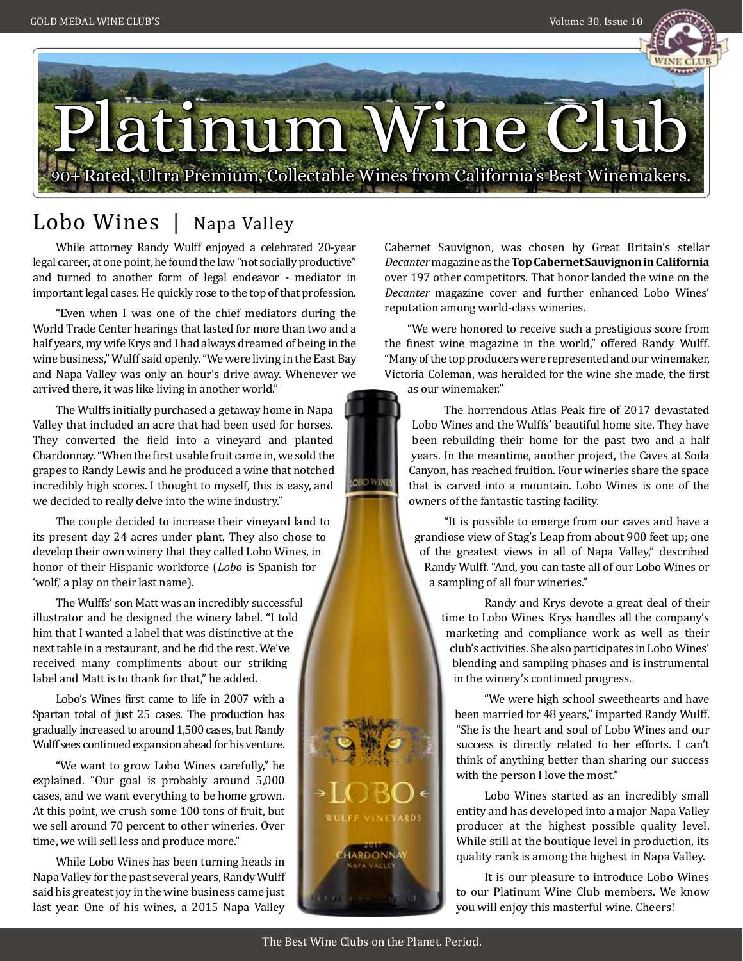



**OBO WINES** 

## Lobo Wines | Napa Valley

While attorney Randy Wulff enjoyed a celebrated 20-year legal career, at one point, he found the law "not socially productive" and turned to another form of legal endeavor - mediator in important legal cases. He quickly rose to the top of that profession.

"Even when I was one of the chief mediators during the World Trade Center hearings that lasted for more than two and a half years, my wife Krys and I had always dreamed of being in the wine business," Wulff said openly. "We were living in the East Bay and Napa Valley was only an hour's drive away. Whenever we arrived there, it was like living in another world."

The Wulffs initially purchased a getaway home in Napa Valley that included an acre that had been used for horses. They converted the field into a vineyard and planted Chardonnay. "When the first usable fruit came in, we sold the grapes to Randy Lewis and he produced a wine that notched incredibly high scores. I thought to myself, this is easy, and we decided to really delve into the wine industry."

The couple decided to increase their vineyard land to its present day 24 acres under plant. They also chose to develop their own winery that they called Lobo Wines, in honor of their Hispanic workforce (*Lobo* is Spanish for 'wolf,' a play on their last name).

The Wulffs' son Matt was an incredibly successful illustrator and he designed the winery label. "I told him that I wanted a label that was distinctive at the next table in a restaurant, and he did the rest. We've received many compliments about our striking label and Matt is to thank for that," he added.

Lobo's Wines first came to life in 2007 with a Spartan total of just 25 cases. The production has gradually increased to around 1,500 cases, but Randy Wulff sees continued expansion ahead for his venture.

"We want to grow Lobo Wines carefully," he explained. "Our goal is probably around 5,000 cases, and we want everything to be home grown. At this point, we crush some 100 tons of fruit, but we sell around 70 percent to other wineries. Over time, we will sell less and produce more."

While Lobo Wines has been turning heads in Napa Valley for the past several years, Randy Wulff said his greatest joy in the wine business came just last year. One of his wines, a 2015 Napa Valley

Cabernet Sauvignon, was chosen by Great Britain's stellar *Decanter* magazine as the **Top Cabernet Sauvignon in California**  over 197 other competitors. That honor landed the wine on the *Decanter* magazine cover and further enhanced Lobo Wines' reputation among world-class wineries.

"We were honored to receive such a prestigious score from the finest wine magazine in the world," offered Randy Wulff. "Many of the top producers were represented and our winemaker, Victoria Coleman, was heralded for the wine she made, the first as our winemaker."

The horrendous Atlas Peak fire of 2017 devastated Lobo Wines and the Wulffs' beautiful home site. They have been rebuilding their home for the past two and a half years. In the meantime, another project, the Caves at Soda Canyon, has reached fruition. Four wineries share the space that is carved into a mountain. Lobo Wines is one of the owners of the fantastic tasting facility.

"It is possible to emerge from our caves and have a grandiose view of Stag's Leap from about 900 feet up; one of the greatest views in all of Napa Valley," described Randy Wulff. "And, you can taste all of our Lobo Wines or a sampling of all four wineries."

 Randy and Krys devote a great deal of their time to Lobo Wines. Krys handles all the company's marketing and compliance work as well as their club's activities. She also participates in Lobo Wines' blending and sampling phases and is instrumental in the winery's continued progress.

"We were high school sweethearts and have been married for 48 years," imparted Randy Wulff. "She is the heart and soul of Lobo Wines and our success is directly related to her efforts. I can't think of anything better than sharing our success with the person I love the most."

Lobo Wines started as an incredibly small entity and has developed into a major Napa Valley producer at the highest possible quality level. While still at the boutique level in production, its quality rank is among the highest in Napa Valley.

It is our pleasure to introduce Lobo Wines to our Platinum Wine Club members. We know you will enjoy this masterful wine. Cheers!

**ULEF VINEYARDS** 

VALLE